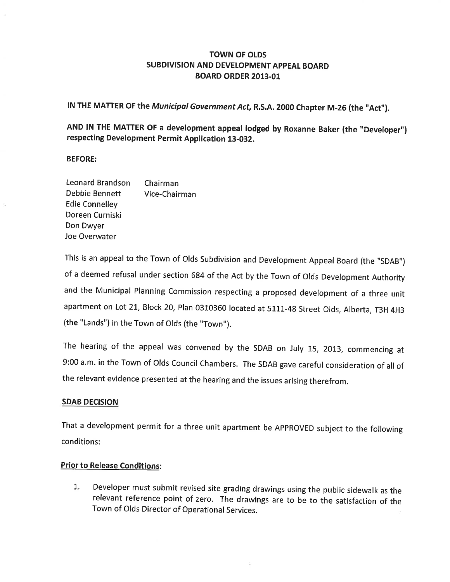# TOWN OF OLDS SUBDIVISION AND DEVELOPMENT APPEAL BOARD BOARD ORDER 2013-01

IN THE MATTER OF the Municipal Government Act, R.S.A. 2000 Chapter M-26 (the "Act").

AND lN THE MATTER OF a development appeal lodged by Roxanne Baker (the "Developer") respecting Development Permit Application 13-032.

## BEFORE:

Leonard Brandson Chairman Debbie Bennett Vice-Chairman Edie Connelley Doreen Curniski Don Dwyer Joe Overwater

This is an appeal to the Town of Olds Subdivision and Development Appeal Board (the "SDAB',) of a deemed refusal under section 684 of the Act by the Town of Olds Development Authority and the Munícipal Planning Commission respecting a proposed development of a three unit apartment on Lot 21, Block 20, Plan 0310360 located at 5111-48 Street Olds, Alberta, T3H 4H3 (the "Lands") in the Town of Olds (the "Town").

The hearing of the appeal was convened by the SDAB on July IS, 2013, commencing at 9:00 a.m. in the Town of Olds Council Chambers. The SDAB gave careful consideration of all of the relevant evidence presented at the hearing and the issues arising therefrom.

# SDAB DECISION

That a development permit for a three unit apartment be APPROVED subject to the following conditions:

# Prior to Release Conditions:

1. Developer must submit revised site grading drawings using the public sidewalk as the relevant reference point of zero. The drawings are to be to the satisfaction of the Town of Olds Director of Operational Services.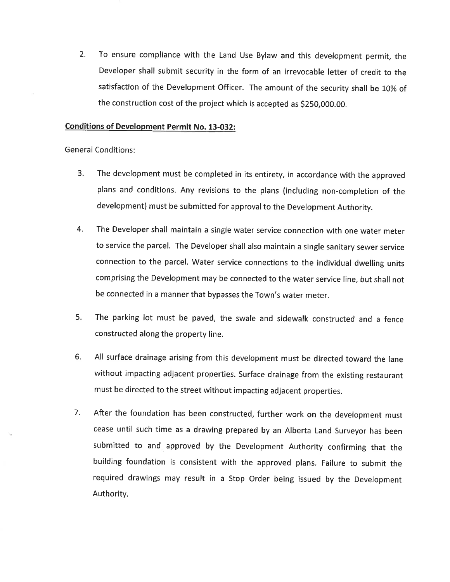2. To ensure compliance with the Land Use Bylaw and this development permit, the Developer shall submit security in the form of an irrevocable letter of credit to the satisfaction of the Development Officer. The amount of the security shall be I0% of the construction cost of the project which is accepted as \$250,000.00.

## Conditions of Development Permit No. 13-032:

General Conditions:

- The development must be completed in its entirety, in accordance with the approved plans and conditions. Any revisions to the plans (including non-completion of the development) must be submitted for approval to the Development Authority. 3.
- The Developer shall maintain a single water service connection with one water meter to service the parcel. The Developer shall also maintain a single sanitary sewer service connection to the parcel. Water service connections to the individual dwelling units comprising the Development may be connected to the water service line, but shall not be connected in a manner that bypasses the Town's water meter. 4.
- The parking lot must be paved, the swale and sidewalk constructed and a fence constructed along the property line. 5.
- 6. All surface drainage arising from this development must be directed toward the lane without impacting adjacent properties. Surface drainage from the existing restaurant must be directed to the street without impacting adjacent properties.
- 7. After the foundation has been constructed, further work on the development must cease until such time as a drawing prepared by an Alberta Land Surveyor has been submitted to and approved by the Development Authority confirming that the building foundation is consistent with the approved plans. Failure to submit the required drawings may result in a Stop Order being issued by the Development Authority.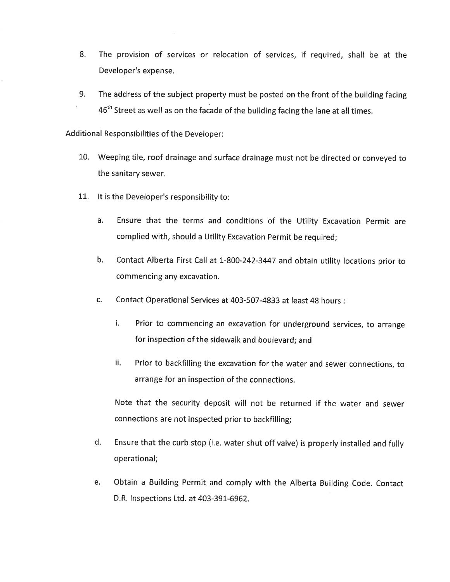- 8. The provision of services or relocation of services, if required, shall be at the Developer's expense.
- 9. The address of the subject property must be posted on the front of the building facing  $46<sup>th</sup>$  Street as well as on the facade of the building facing the lane at all times.

Additional Responsibilities of the Developer:

- 10. Weeping tile, roof drainage and surface drainage must not be directed or conveyed to the sanitary sewer.
- 11. It is the Developer's responsibility to:
	- a. Ensure that the terms and conditions of the Utility Excavation Permit are complied with, should a Utility Excavation Permit be required;
	- b. Contact Alberta First Call at L-800-242-3447 and obtain utility locations prior to commencing any excavation.
	- c. Contact Operational Services at 403-507-4833 at least 48 hours :
		- i. Prior to commencing an excavation for underground services, to arrange for inspection of the sidewalk and boulevard; and
		- ii. Prior to backfilling the excavation for the water and sewer connections, to arrange for an inspection of the connections.

Note that the security deposit will not be returned if the water and sewer connections are not inspected prior to backfilling;

- d. Ensure that the curb stop (i.e. water shut off valve) is properly installed and fully operational;
- e. Obtain a Building Permit and comply with the Alberta Building Code. Contact D.R. lnspections Ltd. at 403-391-6962.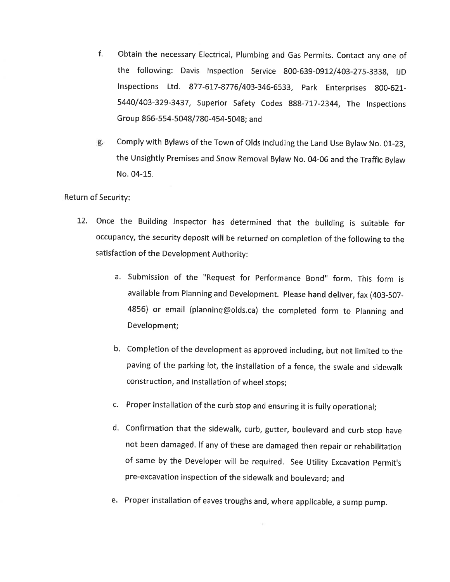- Obtain the necessary Electrical, Plumbing and Gas Permits. Contact any one of the following: Davis Inspection Service 800-639-0912/403-275-3338, IJD lnspections Ltd. 877-617-8776/403-346-6533, park Enterprises g00-621- 5440/403-329-3437, superior safety codes B8B-717-2344, The tnspections Group 866-554-5048/780-454-5048; and r.
- Comply with Bylaws of the Town of Olds including the Land Use Bylaw No. 01-23, g. the Unsightly Premises and Snow Removal Bylaw No. 04-06 and the Traffic Bylaw No. 04-15.

Return of Security:

- 12. Once the Building lnspector has determined that the building is suitable for occupancy, the security deposit will be returned on completion of the following to the satisfaction of the Development Authority:
	- a. submission of the "Request for performance Bond" form. This form is available from Planning and Development. Please hand deliver, fax (403-507- 4856) or email (planninq@olds.ca) the completed form to Planning and Development;
	- b. Completion of the development as approved including, but not limited to the paving of the parking lot, the installation of a fence, the swale and sidewalk construction, and installation of wheel stops;
	- c. Proper installation of the curb stop and ensuring it is fully operational;
	- d. confirmation that the sidewalk, curb, gutter, boulevard and curb stop have not been damaged. lf any of these are damaged then repair or rehabilitation of same by the Developer will be required. See Utility Excavation permit's pre-excavation inspection of the sidewalk and boulevard; and
	- e. Proper installation of eaves troughs and, where applicable, a sump pump.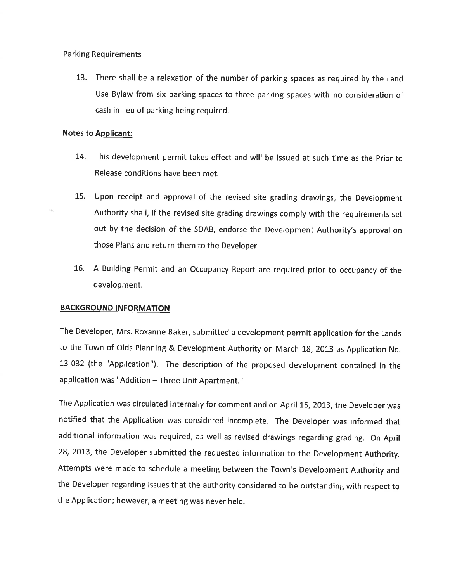Parking Requirements

13, There shall be a relaxation of the number of parking spaces as required by the Land Use Bylaw from six parking spaces to three parking spaces with no consideration of cash in lieu of parking being required.

# Notes to Applicant:

- 74. This development permit takes effect and will be issued at such time as the Prior to Release conditions have been met.
- 15. Upon receipt and approval of the revised site grading drawings, the Development Authority shall, if the revised site grading drawings comply with the requirements set out by the decision of the SDAB, endorse the Development Authority's approval on those Plans and return them to the Developer.
- 16. A Building Permit and an Occupancy Report are required prior to occupancy of the development.

# **BACKGROUND INFORMATION**

The Developer, Mrs. Roxanne Baker, submitted a development permit application for the Lands to the Town of Olds Planning & Development Authority on March 18, 2013 as Application No. 13-032 (the "Application"). The description of the proposed development contained ín the application was "Addition - Three Unit Apartment."

The Application was circulated internally for comment and on April 15, 2013, the Developer was notified that the Application was considered incomplete. The Developer was informed that additional information was required, as well as revised drawings regarding grading, On April 28, 2013, the Developer submitted the requested information to the Development Authority. Attempts were made to schedule a meeting between the Town's Development Authority and the Developer regarding issues that the authority considered to be outstanding with respect to the Application; however, a meeting was never held.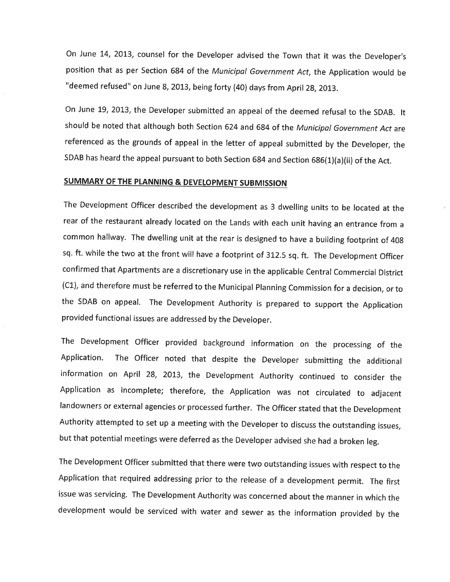On June 14, 2013, counsel for the Developer advised the Town that it was the Developer's position that as per Section 684 of the Municipal Government Act, the Application would be "deemed refused" on June 8, 2013, being forty (40) days from April 28, 2013.

on June 79,2013, the Developer submitted an appeal of the deemed refusal to the SDAB. lt should be noted that although both Section 624 and 684 of the Municipol Government Act are referenced as the grounds of appeal in the letter of appeal submitted by the Developer, the SDAB has heard the appeal pursuant to both Section 684 and Section 686(1)(a)(ii) of the Act.

# SUMMARY OF THE PLANNING & DEVELOPMENT SUBMISSION

The Development Officer described the development as 3 dwelling units to be located at the rear of the restaurant already located on the Lands with each unit having an entrance from <sup>a</sup> common hallway. The dwelling unit at the rear is designed to have a building footprint of 40g sq. ft. while the two at the front will have a footprint of 312.5 sq. ft. The Development Officer confirmed that Apartments are a discretionary use in the applicable Central Commercial District (C1), and therefore must be referred to the Municipal Planning Commission for a decision, orto the SDAB on appeal. The Development Authority is prepared to support the Application provided functional issues are addressed by the Developer.

The Development officer provided background information on the processing of the Application. The officer noted that despite the Developer submitting the additional information on April 28, 2013, the Development Authority continued to consider the Application as incomplete; therefore, the Application was not circulated to adjacent landowners or external agencies or processed further. The Officer stated that the Development Authority attempted to set up a meeting with the Developer to discuss the outstanding issues, but that potential meetings were deferred as the Developer advised she had a broken leg.

The Development Officer submitted that there were two outstanding issues with respect to the Application that required addressing prior to the release of a development permit. The first issue was servicing. The Development Authority was concerned about the manner in which the development would be serviced with water and sewer as the information provided by the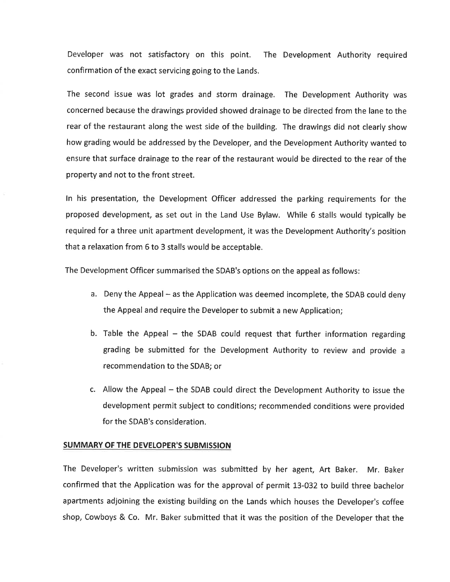Developer was not satisfactory on this point. The Development Authority required confirmation of the exact servicing going to the Lands.

The second issue was lot grades and storm drainage. The Development Authority was concerned because the drawings provided showed drainage to be directed from the lane to the rear of the restaurant along the west side of the building. The drawings did not clearly show how grading would be addressed by the Developer, and the Development Authority wanted to ensure that surface drainage to the rear of the restaurant would be directed to the rear of the property and not to the front street.

ln his presentation, the Development Officer addressed the parking requirements for the proposed development, as set out in the Land Use Bylaw. While 6 stalls would typically be required for a three unit apartment development, it was the Development Authority's position that a relaxation from 6 to 3 stalls would be acceptable.

The Development Officer summarised the SDAB's options on the appeal as follows:

- a. Deny the Appeal as the Application was deemed incomplete, the SDAB could deny the Appeal and require the Developer to submit a new Application;
- b. Table the Appeal the SDAB could request that further information regarding grading be submitted for the Development Authority to review and provide <sup>a</sup> recommendation to the SDAB; or
- c. Allow the Appeal the SDAB could direct the Development Authority to issue the development permit subject to conditions; recommended conditions were provided for the SDAB's consideration.

## SUMMARY OF THE DEVELOPER'S SUBMISSION

The Developer's written submission was submitted by her agent, Art Baker. Mr. Baker confirmed that the Application was for the approval of permit L3-032 to build three bachelor apartments adjoining the existing building on the Lands which houses the Developer's coffee shop, Cowboys & Co. Mr. Baker submitted that it was the position of the Developer that the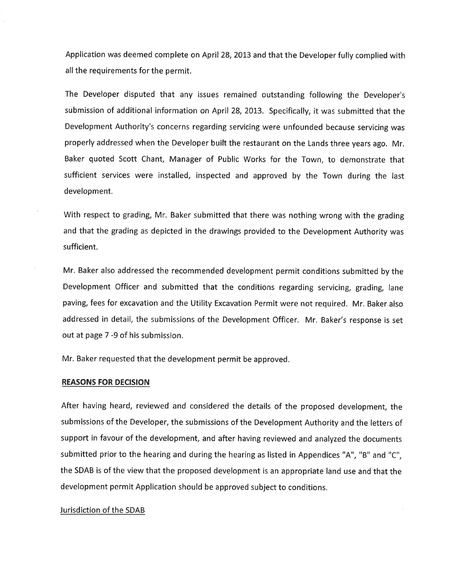Application was deemed complete on April 28,2013 and that the Developer fully complied wíth all the requirements for the permit.

The Developer disputed that any issues remained outstanding following the Developer's submission of additional information on April 28, 2013. Specifically, it was submitted that the Development Authority's concerns regarding servicing were unfounded because servicing was properly addressed when the Developer built the restaurant on the Lands three years ago. Mr. Baker quoted Scott Chant, Manager of Public Works for the Town, to demonstrate that sufficient services were installed, inspected and approved by the Town during the last development.

With respect to grading, Mr. Baker submitted that there was nothing wrong with the grading and that the grading as depicted in the drawings provided to the Development Authority was sufficient.

Mr. Baker also addressed the recommended development permit conditions submitted by the Development Officer and submitted that the conditions regarding servicing, grading, lane paving, fees for excavation and the Utility Excavation Permit were not required. Mr. Baker also addressed in detail, the submissions of the Development Officer. Mr. Baker's response is set out at page 7 -9 of his submission.

Mr. Baker requested that the development permit be approved.

#### REASONS FOR DECISION

After having heard, reviewed and considered the details of the proposed development, the submissions of the Developer, the submissions of the Development Authority and the letters of support in favour of the development, and after having reviewed and analyzed the documents submitted prior to the hearing and during the hearing as listed in Appendices "A", "B" and "C", the SDAB is of the view that the proposed development is an appropriate land use and that the development permit Application should be approved subject to conditions.

#### Jurisdiction of the SDAB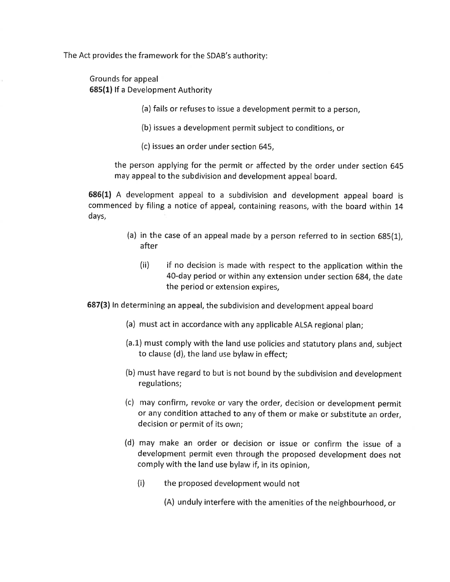The Act provides the framework for the SDAB's authority:

Grounds for appeal 685(1) lf a Development Authority

(a) fails or refuses to issue a development permit to a person,

(b) issues a development permit subject to conditions, or

(c) issues an order under section 645,

the person applying for the permit or affected by the order under section 645 may appeal to the subdivision and development appeal board.

686(11 A development appeal to a subdivision and development appeal board is commenced by filing a notice of appeal, containing reasons, with the board within 14 days,

- (a) in the case of an appeal made by a person referred to in section 685(1), after
	- (ii) if no decision is made with respect to the application within the 40-day period or within any extension under section 684, the date the period or extension expires,

687(3) In determining an appeal, the subdivision and development appeal board

- (a) must act in accordance with any applicable ALSA regional plan;
- (a.1) must comply with the land use policies and statutory plans and, subject to clause (d), the land use bylaw in effect;
- (b) must have regard to but is not bound by the subdivision and development regulations;
- (c) may confirm, revoke or vary the order, decision or development permit or any condition attached to any of them or make or substitute an order, decision or permit of its own;
- (d) may make an order or decision or issue or confirm the issue of <sup>a</sup> development permit even through the proposed development does not comply with the land use bylaw if, in its opinion,
	- (i) the proposed development would not
		- (A) unduly interfere with the amenities of the neighbourhood, or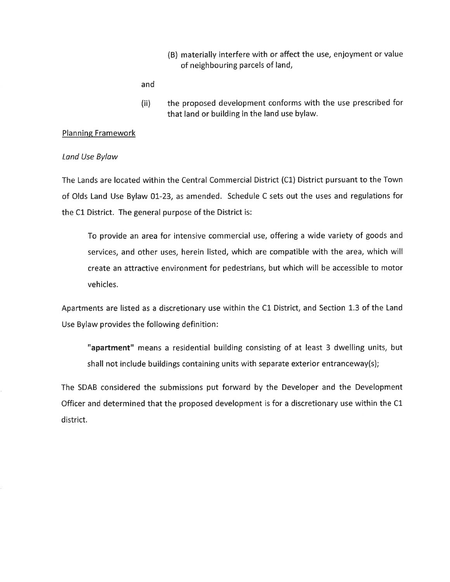(B) materially interfere with or affect the use, enjoyment or value of neighbouring parcels of land,

and

(ii) the proposed development conforms with the use prescribed for that land or building in the land use bylaw.

## Planning Framework

#### Land Use Bylow

The Lands are located within the Central Commercial District (C1) District pursuant to the Town of Olds Land Use Bylaw 01-23, as amended. Schedule C sets out the uses and regulations for the C1 District. The general purpose of the District is:

To provide an area for intensive commercial use, offering a wide variety of goods and services, and other uses, herein listed, which are compatible with the area, which will create an attractive environment for pedestrians, but which will be accessible to motor vehicles.

Apartments are listed as a discretionary use within the C1 District, and Section 1.3 of the Land Use Bylaw provides the following definition:

"apartment" means a residential building consisting of at least 3 dwelling units, but shall not include buildings containing units with separate exterior entranceway(s);

The SDAB considered the submissions put forward by the Developer and the Development Officer and determined that the proposed development is for a discretionary use within the C1 district.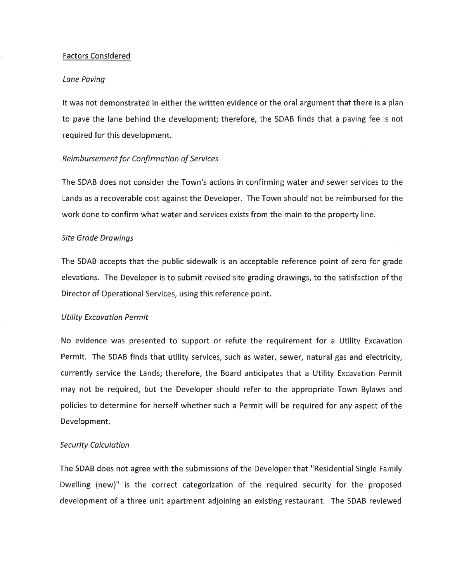### Factors Considered

#### Lane Poving

It was not demonstrated in either the written evidence or the oral argument that there is a plan to pave the lane behind the development; therefore, the SDAB finds that a paving fee is not required for this development.

#### Reimbursement for Confirmation of Services

The SDAB does not consider the Town's actions in confirming water and sewer services to the Lands as a recoverable cost against the Developer. The Town should not be reimbursed for the work done to confirm what water and services exists from the main to the property line,

#### Site Grade Drawings

The SDAB accepts that the public sidewalk is an acceptable reference point of zero for grade elevations. The Developer is to submit revised site grading drawings, to the satisfaction of the Director of Operational Services, using this reference point.

### Utility Excavation Permit

No evidence was presented to support or refute the requirement for a Utility Excavation Permit. The SDAB finds that utility services, such as water, sewer, natural gas and electricity, currently service the Lands; therefore, the Board anticipates that a Utility Excavation Permit may not be required, but the Developer should refer to the appropriate Town Bylaws and policies to determine for herself whether such a Permit will be required for any aspect of the Development.

#### Security Calculation

The SDAB does not agree with the submissions of the Developer that "Residential Single Family Dwelling (new)" is the correct categorization of the required security for the proposed development of a three unit apartment adjoining an existing restaurant. The SDAB reviewed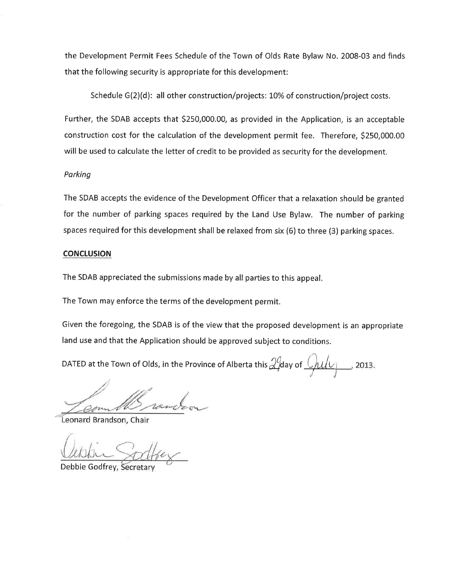the Development Permit Fees Schedule of the Town of Olds Rate Bylaw No. 2008-03 and finds that the following security is appropriate for this development:

Schedule G(2)(d): all other construction/projects: 10% of construction/project costs.

Further, the SDAB accepts that \$250,000.00, as provided in the Application, is an acceptable construction cost for the calculation of the development permít fee. Therefore, 5250,000.00 will be used to calculate the letter of credit to be provided as security for the development.

# Parking

The SDAB accepts the evidence of the Development Officer that a relaxation should be granted for the number of parking spaces required by the Land Use Bylaw. The number of parking spaces required for this development shall be relaxed from six (6) to three (3) parking spaces,

## **CONCLUSION**

The SDAB appreciated the submissions made by all parties to this appeal,

The Town may enforce the terms of the development permit.

Given the foregoing, the SDAB is of the view that the proposed development is an appropriate land use and that the Application should be approved subject to conditions.

DATED at the Town of Olds, in the Province of Alberta this  $\mathcal{Q}^0$ day of  $\mathcal{Q}$ ULIU 2013.

Leonard Brandson, Chair

Debbie Godfrey,